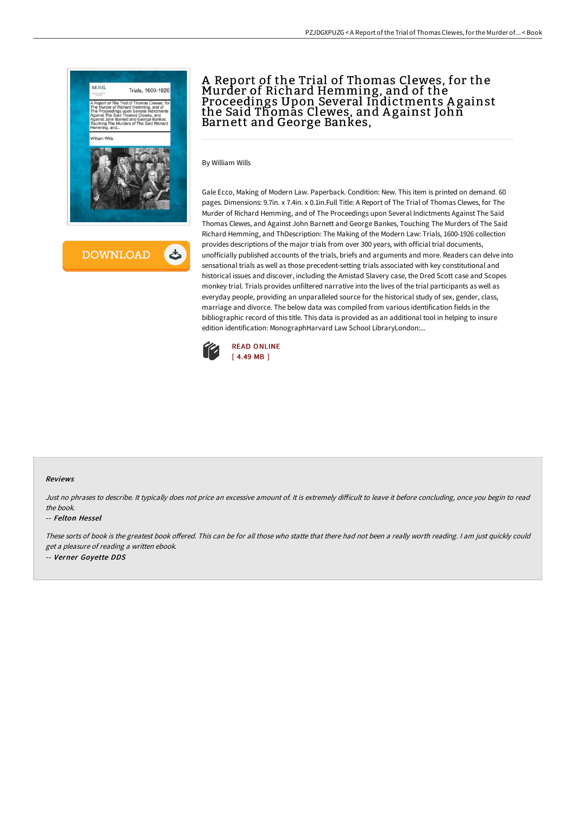

# A Report of the Trial of Thomas Clewes, for the Murder of Richard Hemming, and of the Proceedings Upon Several Indictments A gainst the Said Thomas Clewes, and A gainst John Barnett and George Bankes,

By William Wills

Gale Ecco, Making of Modern Law. Paperback. Condition: New. This item is printed on demand. 60 pages. Dimensions: 9.7in. x 7.4in. x 0.1in.Full Title: A Report of The Trial of Thomas Clewes, for The Murder of Richard Hemming, and of The Proceedings upon Several Indictments Against The Said Thomas Clewes, and Against John Barnett and George Bankes, Touching The Murders of The Said Richard Hemming, and ThDescription: The Making of the Modern Law: Trials, 1600-1926 collection provides descriptions of the major trials from over 300 years, with official trial documents, unofficially published accounts of the trials, briefs and arguments and more. Readers can delve into sensational trials as well as those precedent-setting trials associated with key constitutional and historical issues and discover, including the Amistad Slavery case, the Dred Scott case and Scopes monkey trial. Trials provides unfiltered narrative into the lives of the trial participants as well as everyday people, providing an unparalleled source for the historical study of sex, gender, class, marriage and divorce. The below data was compiled from various identification fields in the bibliographic record of this title. This data is provided as an additional tool in helping to insure edition identification: MonographHarvard Law School LibraryLondon:...



#### Reviews

Just no phrases to describe. It typically does not price an excessive amount of. It is extremely difficult to leave it before concluding, once you begin to read the book.

#### -- Felton Hessel

These sorts of book is the greatest book offered. This can be for all those who statte that there had not been a really worth reading. I am just quickly could get <sup>a</sup> pleasure of reading <sup>a</sup> written ebook. -- Verner Goyette DDS